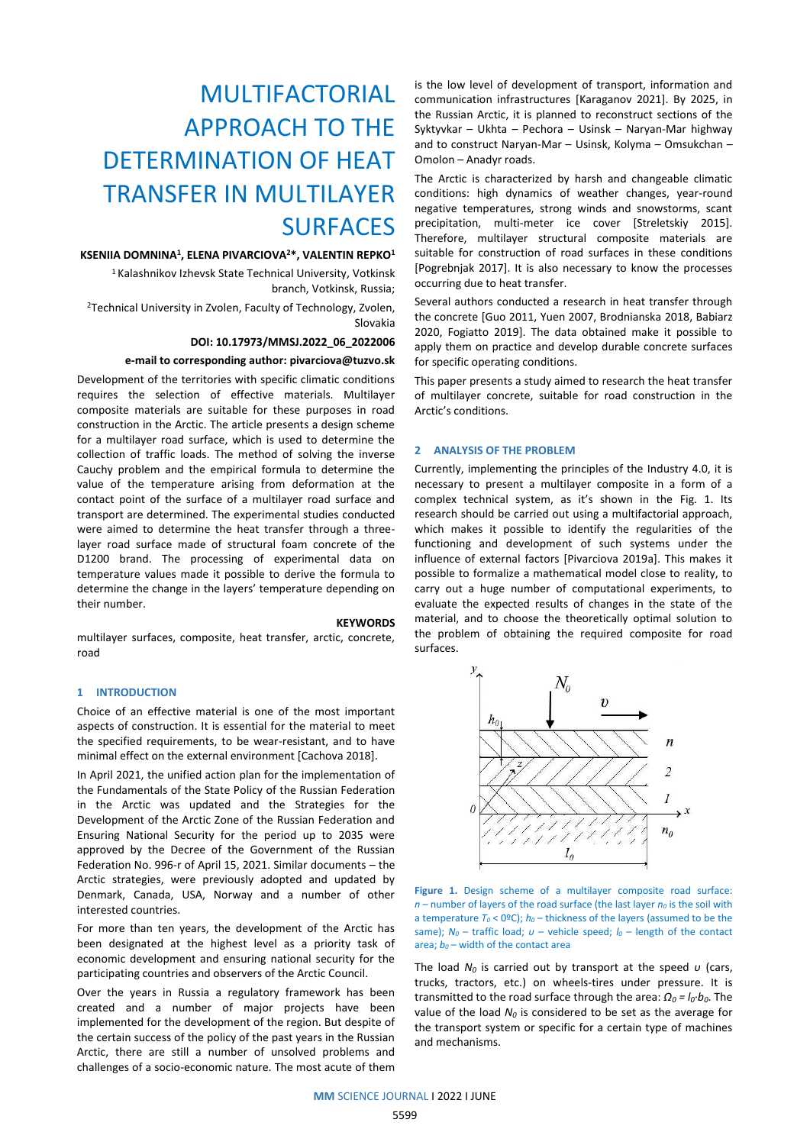# MULTIFACTORIAL APPROACH TO THE DETERMINATION OF HEAT TRANSFER IN MULTILAYER SURFACES

## **KSENIIA DOMNINA<sup>1</sup> , ELENA PIVARCIOVA<sup>2</sup>\*, VALENTIN REPKO<sup>1</sup>**

<sup>1</sup>Kalashnikov Izhevsk State Technical University, Votkinsk branch, Votkinsk, Russia;

<sup>2</sup>Technical University in Zvolen, Faculty of Technology, Zvolen, Slovakia

#### **DOI: 10.17973/MMSJ.2022\_06\_2022006**

#### **e-mail to corresponding author: pivarciova@tuzvo.sk**

Development of the territories with specific climatic conditions requires the selection of effective materials. Multilayer composite materials are suitable for these purposes in road construction in the Arctic. The article presents a design scheme for a multilayer road surface, which is used to determine the collection of traffic loads. The method of solving the inverse Cauchy problem and the empirical formula to determine the value of the temperature arising from deformation at the contact point of the surface of a multilayer road surface and transport are determined. The experimental studies conducted were aimed to determine the heat transfer through a threelayer road surface made of structural foam concrete of the D1200 brand. The processing of experimental data on temperature values made it possible to derive the formula to determine the change in the layers' temperature depending on their number.

#### **KEYWORDS**

multilayer surfaces, composite, heat transfer, arctic, concrete, road

## **1 INTRODUCTION**

Choice of an effective material is one of the most important aspects of construction. It is essential for the material to meet the specified requirements, to be wear-resistant, and to have minimal effect on the external environment [Cachova 2018].

In April 2021, the unified action plan for the implementation of the Fundamentals of the State Policy of the Russian Federation in the Arctic was updated and the Strategies for the Development of the Arctic Zone of the Russian Federation and Ensuring National Security for the period up to 2035 were approved by the Decree of the Government of the Russian Federation No. 996-r of April 15, 2021. Similar documents – the Arctic strategies, were previously adopted and updated by Denmark, Canada, USA, Norway and a number of other interested countries.

For more than ten years, the development of the Arctic has been designated at the highest level as a priority task of economic development and ensuring national security for the participating countries and observers of the Arctic Council.

Over the years in Russia a regulatory framework has been created and a number of major projects have been implemented for the development of the region. But despite of the certain success of the policy of the past years in the Russian Arctic, there are still a number of unsolved problems and challenges of a socio-economic nature. The most acute of them

is the low level of development of transport, information and communication infrastructures [Karaganov 2021]. By 2025, in the Russian Arctic, it is planned to reconstruct sections of the Syktyvkar – Ukhta – Pechora – Usinsk – Naryan-Mar highway and to construct Naryan-Mar – Usinsk, Kolyma – Omsukchan – Omolon – Anadyr roads.

The Arctic is characterized by harsh and changeable climatic conditions: high dynamics of weather changes, year-round negative temperatures, strong winds and snowstorms, scant precipitation, multi-meter ice cover [Streletskiy 2015]. Therefore, multilayer structural composite materials are suitable for construction of road surfaces in these conditions [Pogrebnjak 2017]. It is also necessary to know the processes occurring due to heat transfer.

Several authors conducted a research in heat transfer through the concrete [Guo 2011, Yuen 2007, Brodnianska 2018, Babiarz 2020, Fogiatto 2019]. The data obtained make it possible to apply them on practice and develop durable concrete surfaces for specific operating conditions.

This paper presents a study aimed to research the heat transfer of multilayer concrete, suitable for road construction in the Arctic's conditions.

#### **2 ANALYSIS OF THE PROBLEM**

Currently, implementing the principles of the Industry 4.0, it is necessary to present a multilayer composite in a form of a complex technical system, as it's shown in the Fig. 1. Its research should be carried out using a multifactorial approach, which makes it possible to identify the regularities of the functioning and development of such systems under the influence of external factors [Pivarciova 2019a]. This makes it possible to formalize a mathematical model close to reality, to carry out a huge number of computational experiments, to evaluate the expected results of changes in the state of the material, and to choose the theoretically optimal solution to the problem of obtaining the required composite for road surfaces.



**Figure 1.** Design scheme of a multilayer composite road surface: *n* – number of layers of the road surface (the last layer *n<sup>0</sup>* is the soil with a temperature *T<sup>0</sup>* < 0ºС); *h<sup>0</sup>* – thickness of the layers (assumed to be the same); *N<sup>0</sup>* – traffic load; *υ* – vehicle speed; *l<sup>0</sup>* – length of the contact area; *b<sup>0</sup>* – width of the contact area

The load *N<sup>0</sup>* is carried out by transport at the speed *υ* (cars, trucks, tractors, etc.) on wheels-tires under pressure. It is transmitted to the road surface through the area:  $\Omega_0 = I_0 \cdot b_0$ . The value of the load *N<sup>0</sup>* is considered to be set as the average for the transport system or specific for a certain type of machines and mechanisms.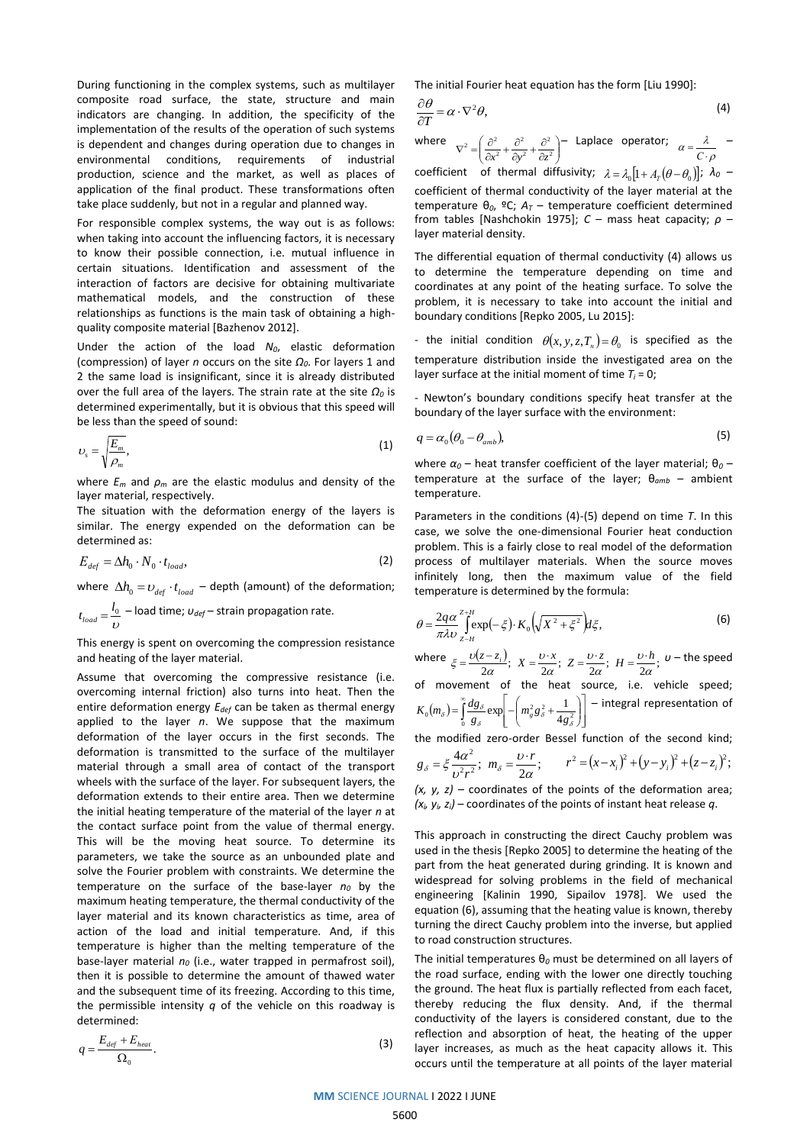During functioning in the complex systems, such as multilayer composite road surface, the state, structure and main indicators are changing. In addition, the specificity of the implementation of the results of the operation of such systems is dependent and changes during operation due to changes in environmental conditions, requirements of industrial production, science and the market, as well as places of application of the final product. These transformations often take place suddenly, but not in a regular and planned way.

For responsible complex systems, the way out is as follows: when taking into account the influencing factors, it is necessary to know their possible connection, i.e. mutual influence in certain situations. Identification and assessment of the interaction of factors are decisive for obtaining multivariate mathematical models, and the construction of these relationships as functions is the main task of obtaining a highquality composite material [Bazhenov 2012].

Under the action of the load *N0*, elastic deformation (compression) of layer *n* occurs on the site *Ω0*. For layers 1 and 2 the same load is insignificant, since it is already distributed over the full area of the layers. The strain rate at the site *Ω<sup>0</sup>* is determined experimentally, but it is obvious that this speed will be less than the speed of sound:

$$
U_s = \sqrt{\frac{E_m}{\rho_m}},\tag{1}
$$

where  $E_m$  and  $\rho_m$  are the elastic modulus and density of the layer material, respectively.

The situation with the deformation energy of the layers is similar. The energy expended on the deformation can be determined as:

$$
E_{def} = \Delta h_0 \cdot N_0 \cdot t_{load},\tag{2}
$$

where  $\Delta h_0 = v_{def} \cdot t_{load}$  – depth (amount) of the deformation;

υ 0 *l t load* – load time; *υdef* – strain propagation rate.

This energy is spent on overcoming the compression resistance and heating of the layer material.

Assume that overcoming the compressive resistance (i.e. overcoming internal friction) also turns into heat. Then the entire deformation energy *Edef* can be taken as thermal energy applied to the layer *n*. We suppose that the maximum deformation of the layer occurs in the first seconds. The deformation is transmitted to the surface of the multilayer material through a small area of contact of the transport wheels with the surface of the layer. For subsequent layers, the deformation extends to their entire area. Then we determine the initial heating temperature of the material of the layer *n* at the contact surface point from the value of thermal energy. This will be the moving heat source. To determine its parameters, we take the source as an unbounded plate and solve the Fourier problem with constraints. We determine the temperature on the surface of the base-layer *n<sup>0</sup>* by the maximum heating temperature, the thermal conductivity of the layer material and its known characteristics as time, area of action of the load and initial temperature. And, if this temperature is higher than the melting temperature of the base-layer material *n<sup>0</sup>* (i.e., water trapped in permafrost soil), then it is possible to determine the amount of thawed water and the subsequent time of its freezing. According to this time, the permissible intensity *q* of the vehicle on this roadway is determined:

$$
q = \frac{E_{def} + E_{heat}}{\Omega_0}.
$$
 (3)

The initial Fourier heat equation has the form [Liu 1990]:

$$
\frac{\partial \theta}{\partial T} = \alpha \cdot \nabla^2 \theta,\tag{4}
$$

where 
$$
\nabla^2 = \left(\frac{\partial^2}{\partial x^2} + \frac{\partial^2}{\partial y^2} + \frac{\partial^2}{\partial z^2}\right) - \text{ Laplace operator; } \alpha = \frac{\lambda}{C \cdot \rho} -
$$

coefficient of thermal diffusivity;  $\lambda = \lambda_0 \left[ 1 + A_T (\theta - \theta_0) \right]$ ;  $\lambda_0$  – coefficient of thermal conductivity of the layer material at the temperature  $θ$ <sub>0</sub>,  $°C$ ;  $A<sub>T</sub>$  – temperature coefficient determined from tables [Nashchokin 1975]; *С* – mass heat capacity; *ρ* – layer material density.

The differential equation of thermal conductivity (4) allows us to determine the temperature depending on time and coordinates at any point of the heating surface. To solve the problem, it is necessary to take into account the initial and boundary conditions [Repko 2005, Lu 2015]:

- the initial condition  $\theta(x, y, z, T_n) = \theta_0$  is specified as the temperature distribution inside the investigated area on the layer surface at the initial moment of time  $T_i = 0$ ;

- Newton's boundary conditions specify heat transfer at the boundary of the layer surface with the environment:

$$
q = \alpha_0 \big( \theta_0 - \theta_{amb} \big), \tag{5}
$$

where  $α<sub>0</sub>$  – heat transfer coefficient of the layer material;  $θ<sub>0</sub>$  – temperature at the surface of the layer; θ*amb* – ambient temperature.

Parameters in the conditions (4)-(5) depend on time *Т*. In this case, we solve the one-dimensional Fourier heat conduction problem. This is a fairly close to real model of the deformation process of multilayer materials. When the source moves infinitely long, then the maximum value of the field temperature is determined by the formula:

$$
\theta = \frac{2q\alpha}{\pi\lambda v} \int_{z-H}^{z+H} \exp(-\xi) \cdot K_0 \left(\sqrt{X^2 + \xi^2}\right) d\xi,
$$
 (6)

where  $\xi = \frac{v(z - z_i)}{2\alpha}$ ;  $X = \frac{v \cdot x}{2\alpha}$ ;  $Z = \frac{v \cdot z}{2\alpha}$ ;  $H = \frac{v \cdot h}{2\alpha}$ ; υ  $\alpha$ υ  $\alpha$ υ  $\alpha$  $\zeta = \frac{v(z-z_i)}{z_i}$ ;  $X = \frac{v \cdot x}{z_i}$ ;  $Z = \frac{v \cdot z}{z_i}$ ;  $H = \frac{v \cdot h}{z_i}$ ;  $v$  – the speed of movement of the heat source, i.e. vehicle speed;  $(m_{\delta}) = \int_{0}^{\infty}$  $\overline{\phantom{a}}$ Ľ ıI  $\vert$ L  $\mathbf{r}$  $\vert$ Л  $\lambda$ L L  $=\int_{0}^{\infty} \frac{dg_{\delta}}{g} \exp\left[-\int m_{\delta}^{2} g_{\delta}^{2} + \right]$  $\binom{1}{0}(m_{\delta}) = \int_{0}^{1} \frac{d g_{\delta}}{g_{\delta}} \exp\left[-\left(m_{g}^{2} g_{\delta}^{2} + \frac{1}{4 g_{\delta}^{2}}\right)\right]$  $\left|\frac{\mathcal{E}_{\delta}}{\delta}\exp\right|-\left(m_g^2g_\delta^2+\frac{1}{4g_\delta^2}\right)$  $K_0(m_{\delta}) = \int_0^{\infty} \frac{dg_{\delta}}{g_{\delta}} \exp\left[-\left(m_g^2 g_{\delta}^2 + \frac{1}{4g_{\delta}^2}\right)\right]$  = integral representation of

the modified zero-order Bessel function of the second kind;

$$
g_{\delta} = \xi \frac{4\alpha^2}{v^2 r^2}
$$
;  $m_{\delta} = \frac{v \cdot r}{2\alpha}$ ;  $r^2 = (x - x_i)^2 + (y - y_i)^2 + (z - z_i)^2$ ;

*(x, y, z)* – coordinates of the points of the deformation area; *(xi, yi, zi)* – coordinates of the points of instant heat release *q*.

This approach in constructing the direct Cauchy problem was used in the thesis [Repko 2005] to determine the heating of the part from the heat generated during grinding. It is known and widespread for solving problems in the field of mechanical engineering [Kalinin 1990, Sipailov 1978]. We used the equation (6), assuming that the heating value is known, thereby turning the direct Cauchy problem into the inverse, but applied to road construction structures.

The initial temperatures θ*<sup>0</sup>* must be determined on all layers of the road surface, ending with the lower one directly touching the ground. The heat flux is partially reflected from each facet, thereby reducing the flux density. And, if the thermal conductivity of the layers is considered constant, due to the reflection and absorption of heat, the heating of the upper layer increases, as much as the heat capacity allows it. This occurs until the temperature at all points of the layer material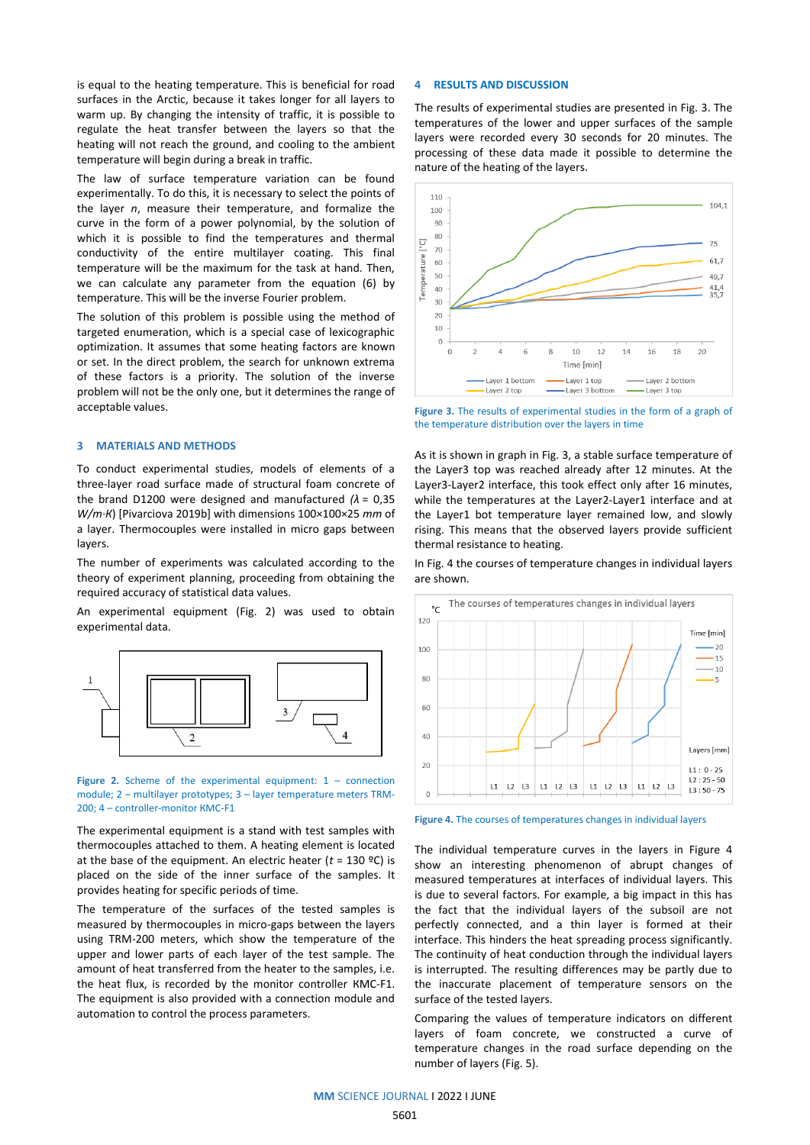is equal to the heating temperature. This is beneficial for road surfaces in the Arctic, because it takes longer for all layers to warm up. By changing the intensity of traffic, it is possible to regulate the heat transfer between the layers so that the heating will not reach the ground, and cooling to the ambient temperature will begin during a break in traffic.

The law of surface temperature variation can be found experimentally. To do this, it is necessary to select the points of the layer *n*, measure their temperature, and formalize the curve in the form of a power polynomial, by the solution of which it is possible to find the temperatures and thermal conductivity of the entire multilayer coating. This final temperature will be the maximum for the task at hand. Then, we can calculate any parameter from the equation (6) by temperature. This will be the inverse Fourier problem.

The solution of this problem is possible using the method of targeted enumeration, which is a special case of lexicographic optimization. It assumes that some heating factors are known or set. In the direct problem, the search for unknown extrema of these factors is a priority. The solution of the inverse problem will not be the only one, but it determines the range of acceptable values.

#### **3 MATERIALS AND METHODS**

To conduct experimental studies, models of elements of a three-layer road surface made of structural foam concrete of the brand D1200 were designed and manufactured  $(\lambda = 0.35)$ *W/m·К*) [Pivarciova 2019b] with dimensions 100×100×25 *mm* of a layer. Thermocouples were installed in micro gaps between layers.

The number of experiments was calculated according to the theory of experiment planning, proceeding from obtaining the required accuracy of statistical data values.

An experimental equipment (Fig. 2) was used to obtain experimental data.



**Figure 2.** Scheme of the experimental equipment: 1 – connection module; 2 – multilayer prototypes; 3 – layer temperature meters TRM-200; 4 – controller-monitor КМС-F1

The experimental equipment is a stand with test samples with thermocouples attached to them. A heating element is located at the base of the equipment. An electric heater (*t* = 130 ºС) is placed on the side of the inner surface of the samples. It provides heating for specific periods of time.

The temperature of the surfaces of the tested samples is measured by thermocouples in micro-gaps between the layers using TRM-200 meters, which show the temperature of the upper and lower parts of each layer of the test sample. The amount of heat transferred from the heater to the samples, i.e. the heat flux, is recorded by the monitor controller КМС-F1. The equipment is also provided with a connection module and automation to control the process parameters.

#### **4 RESULTS AND DISCUSSION**

The results of experimental studies are presented in Fig. 3. The temperatures of the lower and upper surfaces of the sample layers were recorded every 30 seconds for 20 minutes. The processing of these data made it possible to determine the nature of the heating of the layers.



**Figure 3.** The results of experimental studies in the form of a graph of the temperature distribution over the layers in time

As it is shown in graph in Fig. 3, a stable surface temperature of the Layer3 top was reached already after 12 minutes. At the Layer3-Layer2 interface, this took effect only after 16 minutes, while the temperatures at the Layer2-Layer1 interface and at the Layer1 bot temperature layer remained low, and slowly rising. This means that the observed layers provide sufficient thermal resistance to heating.

In Fig. 4 the courses of temperature changes in individual layers are shown.



**Figure 4.** The courses of temperatures changes in individual layers

The individual temperature curves in the layers in Figure 4 show an interesting phenomenon of abrupt changes of measured temperatures at interfaces of individual layers. This is due to several factors. For example, a big impact in this has the fact that the individual layers of the subsoil are not perfectly connected, and a thin layer is formed at their interface. This hinders the heat spreading process significantly. The continuity of heat conduction through the individual layers is interrupted. The resulting differences may be partly due to the inaccurate placement of temperature sensors on the surface of the tested layers.

Comparing the values of temperature indicators on different layers of foam concrete, we constructed a curve of temperature changes in the road surface depending on the number of layers (Fig. 5).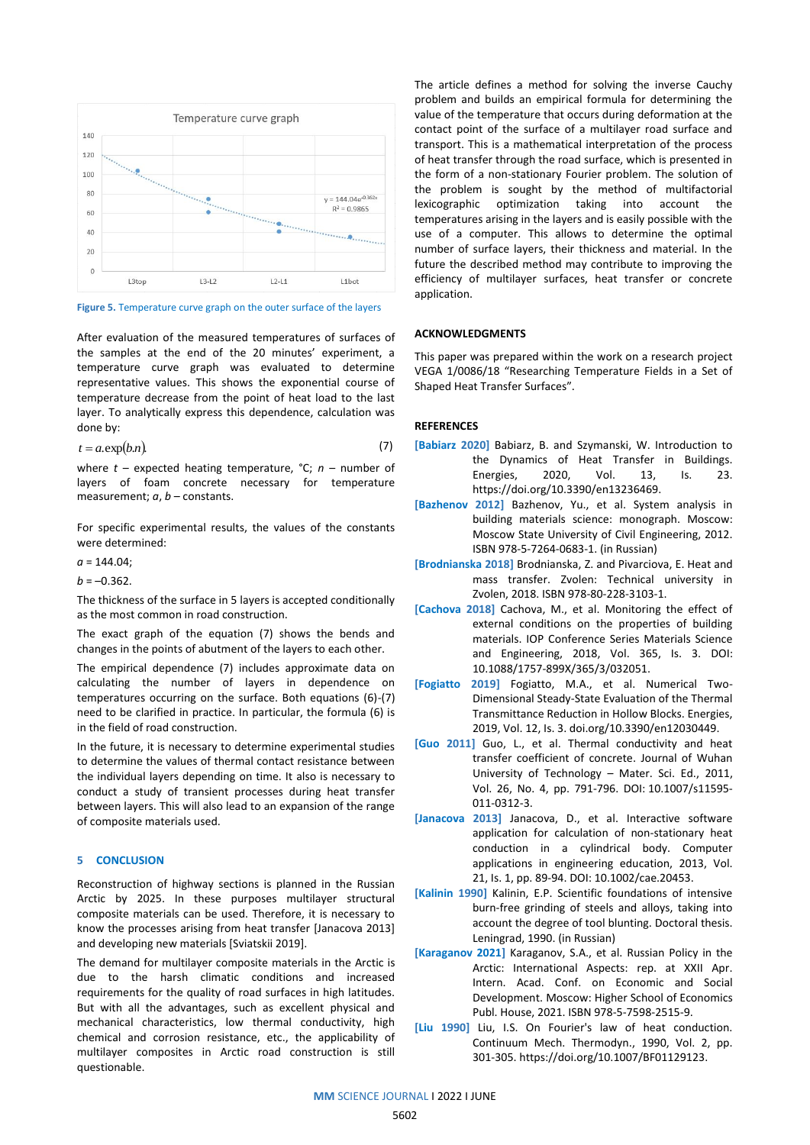

**Figure 5.** Temperature curve graph on the outer surface of the layers

After evaluation of the measured temperatures of surfaces of the samples at the end of the 20 minutes' experiment, a temperature curve graph was evaluated to determine representative values. This shows the exponential course of temperature decrease from the point of heat load to the last layer. To analytically express this dependence, calculation was done by:

$$
t = a.\exp(b.n) \tag{7}
$$

where *t* – expected heating temperature, °С; *n* – number of layers of foam concrete necessary for temperature measurement; *a*, *b* – constants.

For specific experimental results, the values of the constants were determined:

*a* = 144.04;

 $b = -0.362$ .

The thickness of the surface in 5 layers is accepted conditionally as the most common in road construction.

The exact graph of the equation (7) shows the bends and changes in the points of abutment of the layers to each other.

The empirical dependence (7) includes approximate data on calculating the number of layers in dependence on temperatures occurring on the surface. Both equations (6)-(7) need to be clarified in practice. In particular, the formula (6) is in the field of road construction.

In the future, it is necessary to determine experimental studies to determine the values of thermal contact resistance between the individual layers depending on time. It also is necessary to conduct a study of transient processes during heat transfer between layers. This will also lead to an expansion of the range of composite materials used.

#### **5 CONCLUSION**

Reconstruction of highway sections is planned in the Russian Arctic by 2025. In these purposes multilayer structural composite materials can be used. Therefore, it is necessary to know the processes arising from heat transfer [Janacova 2013] and developing new materials [Sviatskii 2019].

The demand for multilayer composite materials in the Arctic is due to the harsh climatic conditions and increased requirements for the quality of road surfaces in high latitudes. But with all the advantages, such as excellent physical and mechanical characteristics, low thermal conductivity, high chemical and corrosion resistance, etc., the applicability of multilayer composites in Arctic road construction is still questionable.

The article defines a method for solving the inverse Cauchy problem and builds an empirical formula for determining the value of the temperature that occurs during deformation at the contact point of the surface of a multilayer road surface and transport. This is a mathematical interpretation of the process of heat transfer through the road surface, which is presented in the form of a non-stationary Fourier problem. The solution of the problem is sought by the method of multifactorial lexicographic optimization taking into account the temperatures arising in the layers and is easily possible with the use of a computer. This allows to determine the optimal number of surface layers, their thickness and material. In the future the described method may contribute to improving the efficiency of multilayer surfaces, heat transfer or concrete application.

#### **ACKNOWLEDGMENTS**

This paper was prepared within the work on a research project VEGA 1/0086/18 "Researching Temperature Fields in a Set of Shaped Heat Transfer Surfaces".

#### **REFERENCES**

- **[Babiarz 2020]** Babiarz, B. and Szymanski, W. Introduction to the Dynamics of Heat Transfer in Buildings. Energies, 2020, Vol. 13, Is. 23. https://doi.org/10.3390/en13236469.
- **[Bazhenov 2012]** Bazhenov, Yu., et al. System analysis in building materials science: monograph. Moscow: Moscow State University of Civil Engineering, 2012. ISBN 978-5-7264-0683-1. (in Russian)
- **[Brodnianska 2018]** Brodnianska, Z. and Pivarciova, E. Heat and mass transfer. Zvolen: Technical university in Zvolen, 2018. ISBN 978-80-228-3103-1.
- **[Cachova 2018]** Cachova, M., et al. Monitoring the effect of external conditions on the properties of building materials. IOP Conference Series Materials Science and Engineering, 2018, Vol. 365, Is. 3. DOI: 10.1088/1757-899X/365/3/032051.
- **[Fogiatto 2019]** Fogiatto, M.A., et al. Numerical Two-Dimensional Steady-State Evaluation of the Thermal Transmittance Reduction in Hollow Blocks. Energies, 2019, Vol. 12, Is. 3. doi.org/10.3390/en12030449.
- **[Guo 2011]** Guo, L., et al. Thermal conductivity and heat transfer coefficient of concrete. Journal of Wuhan University of Technology – Mater. Sci. Ed., 2011, Vol. 26, No. 4, pp. 791-796. DOI: 10.1007/s11595- 011-0312-3.
- **[Janacova 2013]** Janacova, D., et al. Interactive software application for calculation of non-stationary heat conduction in a cylindrical body. Computer applications in engineering education, 2013, Vol. 21, Is. 1, pp. 89-94. DOI: 10.1002/cae.20453.
- **[Kalinin 1990]** Kalinin, E.P. Scientific foundations of intensive burn-free grinding of steels and alloys, taking into account the degree of tool blunting. Doctoral thesis. Leningrad, 1990. (in Russian)
- **[Karaganov 2021]** Karaganov, S.A., et al. Russian Policy in the Arctic: International Aspects: rep. at XXII Apr. Intern. Acad. Conf. on Economic and Social Development. Moscow: Higher School of Economics Publ. House, 2021. ISBN 978-5-7598-2515-9.
- **[Liu 1990]** Liu, I.S. On Fourier's law of heat conduction. Continuum Mech. Thermodyn., 1990, Vol. 2, pp. 301-305. https://doi.org/10.1007/BF01129123.